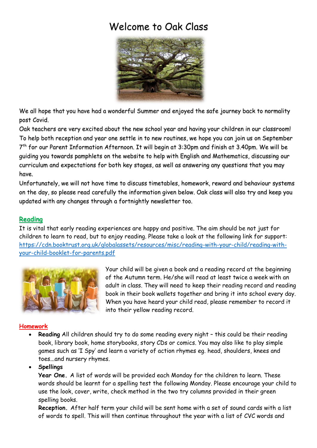# Welcome to Oak Class



We all hope that you have had a wonderful Summer and enjoyed the safe journey back to normality post Covid.

Oak teachers are very excited about the new school year and having your children in our classroom! To help both reception and year one settle in to new routines, we hope you can join us on September 7 th for our Parent Information Afternoon. It will begin at 3:30pm and finish at 3.40pm. We will be guiding you towards pamphlets on the website to help with English and Mathematics, discussing our curriculum and expectations for both key stages, as well as answering any questions that you may have.

Unfortunately, we will not have time to discuss timetables, homework, reward and behaviour systems on the day, so please read carefully the information given below. Oak class will also try and keep you updated with any changes through a fortnightly newsletter too.

# **Reading**

It is vital that early reading experiences are happy and positive. The aim should be not just for children to learn to read, but to enjoy reading. Please take a look at the following link for support: [https://cdn.booktrust.org.uk/globalassets/resources/misc/reading-with-your-child/reading-with](about:blank)[your-child-booklet-for-parents.pdf](about:blank)



Your child will be given a book and a reading record at the beginning of the Autumn term. He/she will read at least twice a week with an adult in class. They will need to keep their reading record and reading book in their book wallets together and bring it into school every day. When you have heard your child read, please remember to record it into their yellow reading record.

## **Homework**

 **Reading** All children should try to do some reading every night – this could be their reading book, library book, home storybooks, story CDs or comics. You may also like to play simple games such as 'I Spy' and learn a variety of action rhymes eg. head, shoulders, knees and toes...and nursery rhymes.

**Spellings**

**Year One.** A list of words will be provided each Monday for the children to learn. These words should be learnt for a spelling test the following Monday. Please encourage your child to use the look, cover, write, check method in the two try columns provided in their green spelling books.

**Reception.** After half term your child will be sent home with a set of sound cards with a list of words to spell. This will then continue throughout the year with a list of CVC words and